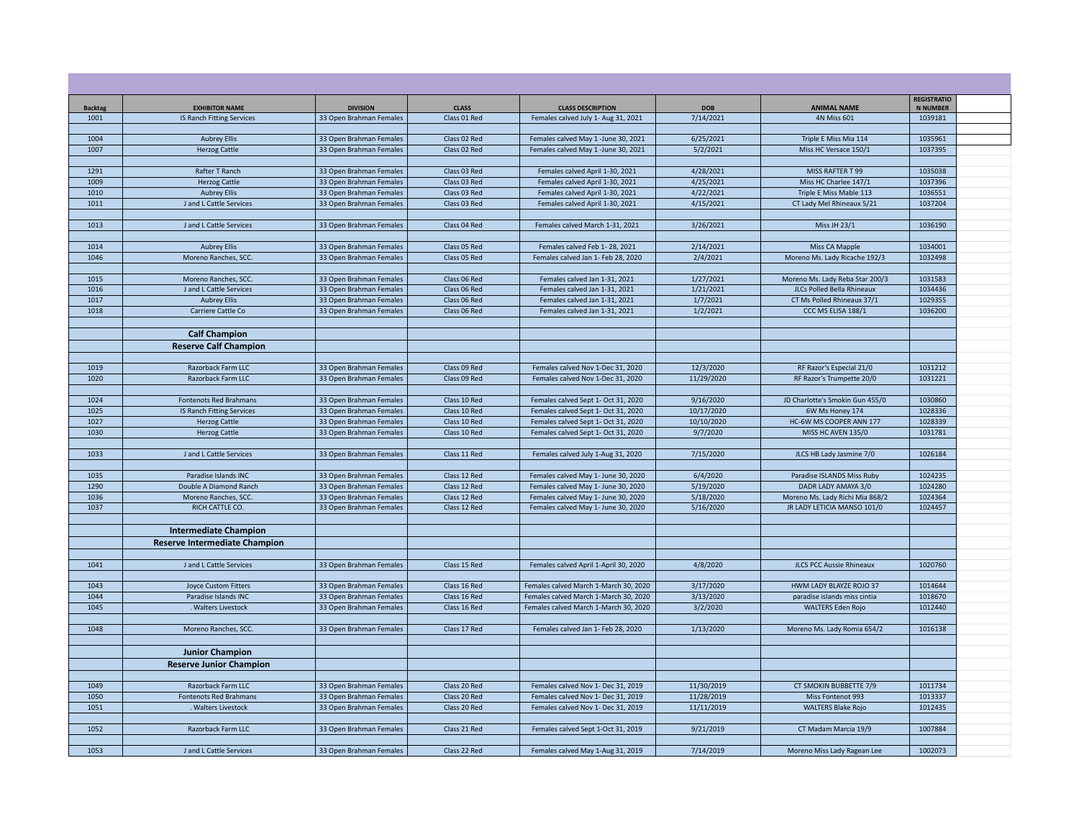| <b>Backtag</b> | <b>EXHIBITOR NAME</b>                             | <b>DIVISION</b>                                    | <b>CLASS</b>                 | <b>CLASS DESCRIPTION</b>                                                       | <b>DOB</b>              | <b>ANIMAL NAME</b>                                       | <b>REGISTRATIO</b><br><b>N NUMBER</b> |  |
|----------------|---------------------------------------------------|----------------------------------------------------|------------------------------|--------------------------------------------------------------------------------|-------------------------|----------------------------------------------------------|---------------------------------------|--|
| 1001           | IS Ranch Fitting Services                         | 33 Open Brahman Females                            | Class 01 Red                 | Females calved July 1- Aug 31, 2021                                            | 7/14/2021               | <b>4N Miss 601</b>                                       | 1039181                               |  |
|                |                                                   |                                                    |                              |                                                                                |                         |                                                          |                                       |  |
| 1004           | <b>Aubrey Ellis</b>                               | 33 Open Brahman Females                            | Class 02 Red                 | Females calved May 1 -June 30, 2021                                            | 6/25/2021               | Triple E Miss Mia 114                                    | 1035961                               |  |
| 1007           | <b>Herzog Cattle</b>                              | 33 Open Brahman Females                            | Class 02 Red                 | Females calved May 1 -June 30, 2021                                            | 5/2/2021                | Miss HC Versace 150/1                                    | 1037395                               |  |
|                |                                                   |                                                    |                              |                                                                                |                         |                                                          |                                       |  |
| 1291           | Rafter T Ranch                                    | 33 Open Brahman Females                            | Class 03 Red                 | Females calved April 1-30, 2021                                                | 4/28/2021               | MISS RAFTER T 99                                         | 1035038                               |  |
| 1009           | <b>Herzog Cattle</b>                              | 33 Open Brahman Females                            | Class 03 Red                 | Females calved April 1-30, 2021                                                | 4/25/2021               | Miss HC Charlee 147/1                                    | 1037396                               |  |
| 1010           | <b>Aubrey Ellis</b>                               | 33 Open Brahman Females                            | Class 03 Red                 | Females calved April 1-30, 2021                                                | 4/22/2021               | Triple E Miss Mable 113                                  | 1036551                               |  |
| 1011           | J and L Cattle Services                           | 33 Open Brahman Females                            | Class 03 Red                 | Females calved April 1-30, 2021                                                | 4/15/2021               | CT Lady Mel Rhineaux 5/21                                | 1037204                               |  |
| 1013           | J and L Cattle Services                           | 33 Open Brahman Females                            | Class 04 Red                 | Females calved March 1-31, 2021                                                | 3/26/2021               | Miss JH 23/1                                             | 1036190                               |  |
|                |                                                   |                                                    |                              |                                                                                |                         |                                                          |                                       |  |
| 1014           | <b>Aubrey Ellis</b>                               | 33 Open Brahman Females                            | Class 05 Red                 | Females calved Feb 1-28, 2021                                                  | 2/14/2021               | Miss CA Mapple                                           | 1034001                               |  |
| 1046           | Moreno Ranches, SCC.                              | 33 Open Brahman Females                            | Class 05 Red                 | Females calved Jan 1- Feb 28, 2020                                             | 2/4/2021                | Moreno Ms. Lady Ricache 192/3                            | 1032498                               |  |
|                |                                                   |                                                    |                              |                                                                                |                         |                                                          |                                       |  |
| 1015           | Moreno Ranches, SCC.                              | 33 Open Brahman Females                            | Class 06 Red                 | Females calved Jan 1-31, 2021                                                  | 1/27/2021               | Moreno Ms. Lady Reba Star 200/3                          | 1031583                               |  |
| 1016           | J and L Cattle Services                           | 33 Open Brahman Females                            | Class 06 Red                 | Females calved Jan 1-31, 2021                                                  | 1/21/2021               | JLCs Polled Bella Rhineaux                               | 1034436                               |  |
| 1017           | <b>Aubrey Ellis</b>                               | 33 Open Brahman Females                            | Class 06 Red                 | Females calved Jan 1-31, 2021                                                  | 1/7/2021                | CT Ms Polled Rhineaux 37/1                               | 1029355                               |  |
| 1018           | Carriere Cattle Co                                | 33 Open Brahman Females                            | Class 06 Red                 | Females calved Jan 1-31, 2021                                                  | 1/2/2021                | CCC MS ELISA 188/1                                       | 1036200                               |  |
|                |                                                   |                                                    |                              |                                                                                |                         |                                                          |                                       |  |
|                | <b>Calf Champion</b>                              |                                                    |                              |                                                                                |                         |                                                          |                                       |  |
|                | <b>Reserve Calf Champion</b>                      |                                                    |                              |                                                                                |                         |                                                          |                                       |  |
|                |                                                   |                                                    |                              |                                                                                |                         |                                                          |                                       |  |
| 1019           | Razorback Farm LLC                                | 33 Open Brahman Females                            | Class 09 Red                 | Females calved Nov 1-Dec 31, 2020                                              | 12/3/2020               | RF Razor's Especial 21/0                                 | 1031212                               |  |
| 1020           | Razorback Farm LLC                                | 33 Open Brahman Females                            | Class 09 Red                 | Females calved Nov 1-Dec 31, 2020                                              | 11/29/2020              | RF Razor's Trumpette 20/0                                | 1031221                               |  |
|                |                                                   |                                                    |                              |                                                                                |                         |                                                          |                                       |  |
| 1024           | Fontenots Red Brahmans                            | 33 Open Brahman Females                            | Class 10 Red                 | Females calved Sept 1- Oct 31, 2020                                            | 9/16/2020<br>10/17/2020 | JD Charlotte's Smokin Gun 455/0                          | 1030860                               |  |
| 1025<br>1027   | IS Ranch Fitting Services<br><b>Herzog Cattle</b> | 33 Open Brahman Females<br>33 Open Brahman Females | Class 10 Red<br>Class 10 Red | Females calved Sept 1- Oct 31, 2020<br>Females calved Sept 1- Oct 31, 2020     | 10/10/2020              | 6W Ms Honey 174<br>HC-6W MS COOPER ANN 177               | 1028336<br>1028339                    |  |
| 1030           | <b>Herzog Cattle</b>                              | 33 Open Brahman Females                            | Class 10 Red                 | Females calved Sept 1- Oct 31, 2020                                            | 9/7/2020                | MISS HC AVEN 135/0                                       | 1031781                               |  |
|                |                                                   |                                                    |                              |                                                                                |                         |                                                          |                                       |  |
| 1033           | J and L Cattle Services                           | 33 Open Brahman Females                            | Class 11 Red                 | Females calved July 1-Aug 31, 2020                                             | 7/15/2020               | JLCS HB Lady Jasmine 7/0                                 | 1026184                               |  |
|                |                                                   |                                                    |                              |                                                                                |                         |                                                          |                                       |  |
| 1035           | Paradise Islands INC                              | 33 Open Brahman Females                            | Class 12 Red                 | Females calved May 1- June 30, 2020                                            | 6/4/2020                | Paradise ISLANDS Miss Ruby                               | 1024235                               |  |
| 1290           | Double A Diamond Ranch                            | 33 Open Brahman Females                            | Class 12 Red                 | Females calved May 1- June 30, 2020                                            | 5/19/2020               | DADR LADY AMAYA 3/0                                      | 1024280                               |  |
| 1036           | Moreno Ranches, SCC.                              | 33 Open Brahman Females                            | Class 12 Red                 | Females calved May 1- June 30, 2020                                            | 5/18/2020               | Moreno Ms. Lady Richi Mia 868/2                          | 1024364                               |  |
| 1037           | RICH CATTLE CO.                                   | 33 Open Brahman Females                            | Class 12 Red                 | Females calved May 1- June 30, 2020                                            | 5/16/2020               | JR LADY LETICIA MANSO 101/0                              | 1024457                               |  |
|                |                                                   |                                                    |                              |                                                                                |                         |                                                          |                                       |  |
|                | <b>Intermediate Champion</b>                      |                                                    |                              |                                                                                |                         |                                                          |                                       |  |
|                | <b>Reserve Intermediate Champion</b>              |                                                    |                              |                                                                                |                         |                                                          |                                       |  |
|                |                                                   |                                                    |                              |                                                                                |                         |                                                          |                                       |  |
| 1041           | J and L Cattle Services                           | 33 Open Brahman Females                            | Class 15 Red                 | Females calved April 1-April 30, 2020                                          | 4/8/2020                | <b>JLCS PCC Aussie Rhineaux</b>                          | 1020760                               |  |
|                |                                                   |                                                    |                              |                                                                                |                         |                                                          |                                       |  |
| 1043<br>1044   | <b>Joyce Custom Fitters</b>                       | 33 Open Brahman Females                            | Class 16 Red<br>Class 16 Red | Females calved March 1-March 30, 2020                                          | 3/17/2020<br>3/13/2020  | HWM LADY BLAYZE ROJO 37                                  | 1014644<br>1018670                    |  |
| 1045           | Paradise Islands INC<br>. Walters Livestock       | 33 Open Brahman Females<br>33 Open Brahman Females | Class 16 Red                 | Females calved March 1-March 30, 2020<br>Females calved March 1-March 30, 2020 | 3/2/2020                | paradise islands miss cintia<br><b>WALTERS Eden Rojo</b> | 1012440                               |  |
|                |                                                   |                                                    |                              |                                                                                |                         |                                                          |                                       |  |
| 1048           | Moreno Ranches, SCC.                              | 33 Open Brahman Females                            | Class 17 Red                 | Females calved Jan 1- Feb 28, 2020                                             | 1/13/2020               | Moreno Ms. Lady Romia 654/2                              | 1016138                               |  |
|                |                                                   |                                                    |                              |                                                                                |                         |                                                          |                                       |  |
|                | <b>Junior Champion</b>                            |                                                    |                              |                                                                                |                         |                                                          |                                       |  |
|                | <b>Reserve Junior Champion</b>                    |                                                    |                              |                                                                                |                         |                                                          |                                       |  |
|                |                                                   |                                                    |                              |                                                                                |                         |                                                          |                                       |  |
| 1049           | Razorback Farm LLC                                | 33 Open Brahman Females                            | Class 20 Red                 | Females calved Nov 1- Dec 31, 2019                                             | 11/30/2019              | CT SMOKIN BUBBETTE 7/9                                   | 1011734                               |  |
| 1050           | <b>Fontenots Red Brahmans</b>                     | 33 Open Brahman Females                            | Class 20 Red                 | Females calved Nov 1- Dec 31, 2019                                             | 11/28/2019              | Miss Fontenot 993                                        | 1013337                               |  |
| 1051           | Walters Livestock                                 | 33 Open Brahman Females                            | Class 20 Red                 | Females calved Nov 1- Dec 31, 2019                                             | 11/11/2019              | <b>WALTERS Blake Rojo</b>                                | 1012435                               |  |
|                |                                                   |                                                    |                              |                                                                                |                         |                                                          |                                       |  |
| 1052           | Razorback Farm LLC                                | 33 Open Brahman Females                            | Class 21 Red                 | Females calved Sept 1-Oct 31, 2019                                             | 9/21/2019               | CT Madam Marcia 19/9                                     | 1007884                               |  |
|                |                                                   |                                                    |                              |                                                                                |                         |                                                          |                                       |  |
| 1053           | J and L Cattle Services                           | 33 Open Brahman Females                            | Class 22 Red                 | Females calved May 1-Aug 31, 2019                                              | 7/14/2019               | Moreno Miss Lady Ragean Lee                              | 1002073                               |  |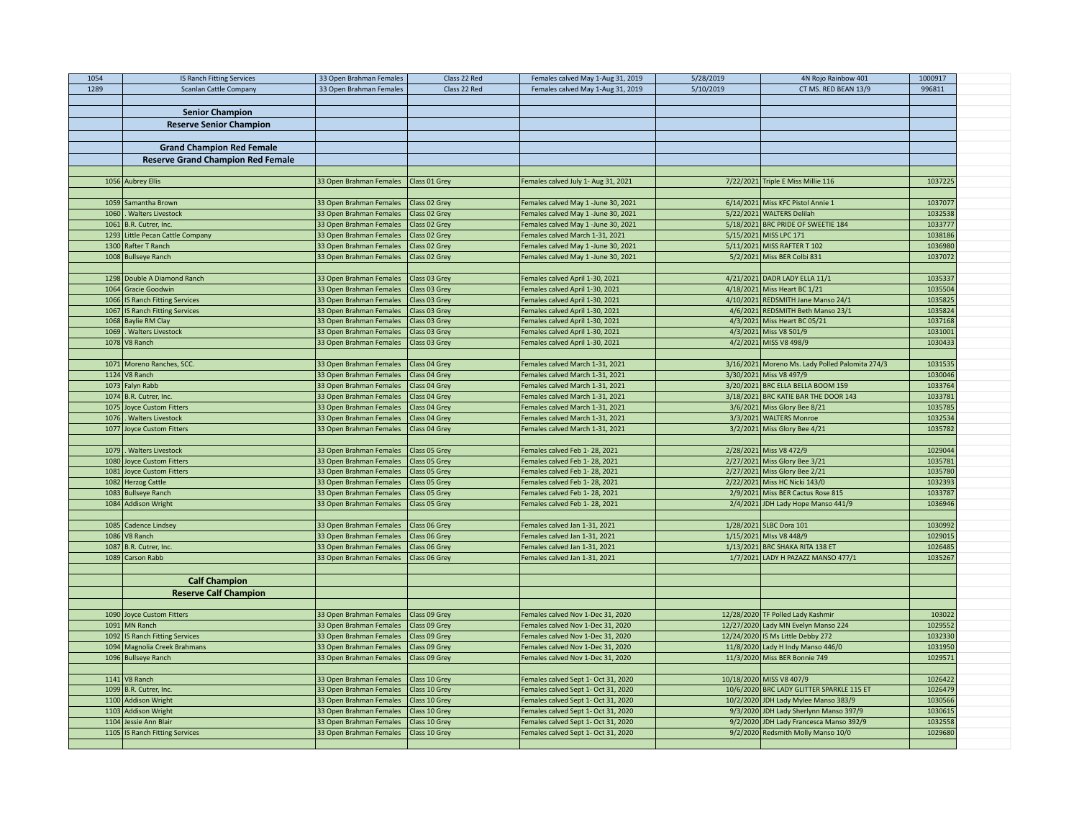| 1054 | IS Ranch Fitting Services                  | 33 Open Brahman Females                            | Class 22 Red                   | Females calved May 1-Aug 31, 2019                              | 5/28/2019 | 4N Rojo Rainbow 401                                                        | 1000917            |  |
|------|--------------------------------------------|----------------------------------------------------|--------------------------------|----------------------------------------------------------------|-----------|----------------------------------------------------------------------------|--------------------|--|
| 1289 | <b>Scanlan Cattle Company</b>              | 33 Open Brahman Females                            | Class 22 Red                   | Females calved May 1-Aug 31, 2019                              | 5/10/2019 | CT MS. RED BEAN 13/9                                                       | 996811             |  |
|      |                                            |                                                    |                                |                                                                |           |                                                                            |                    |  |
|      | <b>Senior Champion</b>                     |                                                    |                                |                                                                |           |                                                                            |                    |  |
|      | <b>Reserve Senior Champion</b>             |                                                    |                                |                                                                |           |                                                                            |                    |  |
|      |                                            |                                                    |                                |                                                                |           |                                                                            |                    |  |
|      | <b>Grand Champion Red Female</b>           |                                                    |                                |                                                                |           |                                                                            |                    |  |
|      | <b>Reserve Grand Champion Red Female</b>   |                                                    |                                |                                                                |           |                                                                            |                    |  |
|      |                                            |                                                    |                                |                                                                |           |                                                                            |                    |  |
|      | 1056 Aubrey Ellis                          | 33 Open Brahman Females                            | Class 01 Grey                  | Females calved July 1- Aug 31, 2021                            |           | 7/22/2021 Triple E Miss Millie 116                                         | 1037225            |  |
|      |                                            |                                                    |                                |                                                                |           |                                                                            |                    |  |
|      | 1059 Samantha Brown                        | 33 Open Brahman Females                            | Class 02 Grey                  | Females calved May 1 -June 30, 2021                            |           | 6/14/2021 Miss KFC Pistol Annie 1                                          | 1037077            |  |
| 1060 | <b>Walters Livestock</b>                   | 33 Open Brahman Females                            | Class 02 Grey                  | Females calved May 1 -June 30, 2021                            |           | 5/22/2021 WALTERS Delilah                                                  | 1032538            |  |
|      | 1061 B.R. Cutrer, Inc.                     | 33 Open Brahman Females                            | Class 02 Grey                  | Females calved May 1 -June 30, 2021                            |           | 5/18/2021 BRC PRIDE OF SWEETIE 184                                         | 1033777            |  |
|      | 1293 Little Pecan Cattle Company           | 33 Open Brahman Females                            | Class 02 Grey                  | Females calved March 1-31, 2021                                |           | 5/15/2021 MISS LPC 171                                                     | 1038186            |  |
|      | 1300 Rafter T Ranch                        | 33 Open Brahman Females                            | Class 02 Grey                  | Females calved May 1 -June 30, 2021                            |           | 5/11/2021 MISS RAFTER T 102                                                | 1036980            |  |
|      | 1008 Bullseye Ranch                        | 33 Open Brahman Females                            | Class 02 Grey                  | Females calved May 1 -June 30, 2021                            |           | 5/2/2021 Miss BER Colbi 831                                                | 1037072            |  |
|      |                                            |                                                    |                                |                                                                |           |                                                                            |                    |  |
|      | 1298 Double A Diamond Ranch                | 33 Open Brahman Females   Class 03 Grey            |                                | Females calved April 1-30, 2021                                |           | 4/21/2021 DADR LADY ELLA 11/1                                              | 1035337            |  |
|      | 1064 Gracie Goodwin                        | 33 Open Brahman Females                            | Class 03 Grey                  | Females calved April 1-30, 2021                                |           | 4/18/2021 Miss Heart BC 1/21                                               | 1035504            |  |
|      | 1066 IS Ranch Fitting Services             | 33 Open Brahman Females                            | Class 03 Grey                  | Females calved April 1-30, 2021                                |           | 4/10/2021 REDSMITH Jane Manso 24/1                                         | 1035825            |  |
|      | 1067 IS Ranch Fitting Services             | 33 Open Brahman Females                            | Class 03 Grey                  | Females calved April 1-30, 2021                                |           | 4/6/2021 REDSMITH Beth Manso 23/1                                          | 1035824            |  |
|      | 1068 Baylie RM Clay                        | 33 Open Brahman Females                            | Class 03 Grey                  | Females calved April 1-30, 2021                                |           | 4/3/2021 Miss Heart BC 05/21                                               | 1037168            |  |
| 1069 | <b>Walters Livestock</b>                   | 33 Open Brahman Females                            | Class 03 Grey                  | Females calved April 1-30, 2021                                |           | 4/3/2021 Miss V8 501/9                                                     | 1031001            |  |
|      | 1078 V8 Ranch                              | 33 Open Brahman Females   Class 03 Grey            |                                | Females calved April 1-30, 2021                                |           | 4/2/2021 MISS V8 498/9                                                     | 1030433            |  |
|      |                                            | 33 Open Brahman Females   Class 04 Grey            |                                | Females calved March 1-31, 2021                                |           |                                                                            | 1031535            |  |
|      | 1071 Moreno Ranches, SCC.<br>1124 V8 Ranch | 33 Open Brahman Females                            | Class 04 Grey                  | Females calved March 1-31, 2021                                |           | 3/16/2021 Moreno Ms. Lady Polled Palomita 274/3<br>3/30/2021 Miss V8 497/9 | 1030046            |  |
|      | 1073 Falyn Rabb                            | 33 Open Brahman Females                            | Class 04 Grey                  | Females calved March 1-31, 2021                                |           | 3/20/2021 BRC ELLA BELLA BOOM 159                                          | 1033764            |  |
|      | 1074 B.R. Cutrer, Inc.                     | 33 Open Brahman Females                            | Class 04 Grey                  | Females calved March 1-31, 2021                                |           | 3/18/2021 BRC KATIE BAR THE DOOR 143                                       | 1033781            |  |
|      | 1075 Joyce Custom Fitters                  | 33 Open Brahman Females                            | Class 04 Grey                  | Females calved March 1-31, 2021                                |           | 3/6/2021 Miss Glory Bee 8/21                                               | 1035785            |  |
| 1076 | <b>Walters Livestock</b>                   | 33 Open Brahman Females                            | Class 04 Grey                  | Females calved March 1-31, 2021                                |           | 3/3/2021 WALTERS Monroe                                                    | 1032534            |  |
|      | 1077 Joyce Custom Fitters                  | 33 Open Brahman Females   Class 04 Grey            |                                | Females calved March 1-31, 2021                                |           | 3/2/2021 Miss Glory Bee 4/21                                               | 1035782            |  |
|      |                                            |                                                    |                                |                                                                |           |                                                                            |                    |  |
| 1079 | <b>Walters Livestock</b>                   | 33 Open Brahman Females   Class 05 Grey            |                                | Females calved Feb 1-28, 2021                                  |           | 2/28/2021 Miss V8 472/9                                                    | 1029044            |  |
| 1080 | <b>Joyce Custom Fitters</b>                | 33 Open Brahman Females                            | Class 05 Grey                  | Females calved Feb 1-28, 2021                                  |           | 2/27/2021 Miss Glory Bee 3/21                                              | 1035781            |  |
| 1081 | Joyce Custom Fitters                       | 33 Open Brahman Females                            | Class 05 Grey                  | Females calved Feb 1-28, 2021                                  |           | 2/27/2021 Miss Glory Bee 2/21                                              | 1035780            |  |
| 1082 | <b>Herzog Cattle</b>                       | 33 Open Brahman Females                            | Class 05 Grey                  | Females calved Feb 1-28, 2021                                  |           | 2/22/2021 Miss HC Nicki 143/0                                              | 1032393            |  |
|      | 1083 Bullseye Ranch                        | 33 Open Brahman Females                            | Class 05 Grey                  | Females calved Feb 1-28, 2021                                  |           | 2/9/2021 Miss BER Cactus Rose 815                                          | 1033787            |  |
|      | 1084 Addison Wright                        | 33 Open Brahman Females                            | Class 05 Grey                  | Females calved Feb 1-28, 2021                                  |           | 2/4/2021 JDH Lady Hope Manso 441/9                                         | 1036946            |  |
|      |                                            |                                                    |                                |                                                                |           |                                                                            |                    |  |
|      | 1085 Cadence Lindsey                       | 33 Open Brahman Females                            | Class 06 Grey                  | Females calved Jan 1-31, 2021                                  |           | 1/28/2021 SLBC Dora 101                                                    | 1030992            |  |
|      | 1086 V8 Ranch                              | 33 Open Brahman Females                            | Class 06 Grey                  | Females calved Jan 1-31, 2021                                  |           | 1/15/2021 MIss V8 448/9                                                    | 1029015<br>1026485 |  |
|      | 1087 B.R. Cutrer, Inc.<br>1089 Carson Rabb | 33 Open Brahman Females<br>33 Open Brahman Females | Class 06 Grey<br>Class 06 Grey | Females calved Jan 1-31, 2021<br>Females calved Jan 1-31, 2021 |           | 1/13/2021 BRC SHAKA RITA 138 ET<br>1/7/2021 LADY H PAZAZZ MANSO 477/1      | 1035267            |  |
|      |                                            |                                                    |                                |                                                                |           |                                                                            |                    |  |
|      | <b>Calf Champion</b>                       |                                                    |                                |                                                                |           |                                                                            |                    |  |
|      |                                            |                                                    |                                |                                                                |           |                                                                            |                    |  |
|      | <b>Reserve Calf Champion</b>               |                                                    |                                |                                                                |           |                                                                            |                    |  |
|      | 1090 Joyce Custom Fitters                  | 33 Open Brahman Females                            | Class 09 Grey                  | Females calved Nov 1-Dec 31, 2020                              |           | 12/28/2020 TF Polled Lady Kashmir                                          | 103022             |  |
|      | 1091 MN Ranch                              | 33 Open Brahman Females                            | Class 09 Grey                  | Females calved Nov 1-Dec 31, 2020                              |           | 12/27/2020 Lady MN Evelyn Manso 224                                        | 1029552            |  |
|      | 1092 IS Ranch Fitting Services             | 33 Open Brahman Females                            | Class 09 Grey                  | Females calved Nov 1-Dec 31, 2020                              |           | 12/24/2020 IS Ms Little Debby 272                                          | 1032330            |  |
|      | 1094 Magnolia Creek Brahmans               | 33 Open Brahman Females                            | Class 09 Grey                  | Females calved Nov 1-Dec 31, 2020                              |           | 11/8/2020 Lady H Indy Manso 446/0                                          | 1031950            |  |
|      | 1096 Bullseye Ranch                        | 33 Open Brahman Females                            | Class 09 Grey                  | Females calved Nov 1-Dec 31, 2020                              |           | 11/3/2020 Miss BER Bonnie 749                                              | 1029571            |  |
|      |                                            |                                                    |                                |                                                                |           |                                                                            |                    |  |
|      | $1141$ V8 Ranch                            | 33 Open Brahman Females                            | Class 10 Grey                  | Females calved Sept 1- Oct 31, 2020                            |           | 10/18/2020 MISS V8 407/9                                                   | 1026422            |  |
|      | 1099 B.R. Cutrer, Inc.                     | 33 Open Brahman Females                            | Class 10 Grey                  | Females calved Sept 1- Oct 31, 2020                            |           | 10/6/2020 BRC LADY GLITTER SPARKLE 115 ET                                  | 1026479            |  |
|      | 1100 Addison Wright                        | 33 Open Brahman Females                            | Class 10 Grey                  | Females calved Sept 1- Oct 31, 2020                            |           | 10/2/2020 JDH Lady Mylee Manso 383/9                                       | 1030566            |  |
|      | 1103 Addison Wright                        | 33 Open Brahman Females                            | Class 10 Grey                  | Females calved Sept 1- Oct 31, 2020                            |           | 9/3/2020 JDH Lady Sherlynn Manso 397/9                                     | 1030615            |  |
| 1104 | Jessie Ann Blair                           | 33 Open Brahman Females                            | Class 10 Grey                  | Females calved Sept 1- Oct 31, 2020                            |           | 9/2/2020 JDH Lady Francesca Manso 392/9                                    | 1032558            |  |
|      | 1105 IS Ranch Fitting Services             | 33 Open Brahman Females                            | Class 10 Grey                  | Females calved Sept 1- Oct 31, 2020                            |           | 9/2/2020 Redsmith Molly Manso 10/0                                         | 1029680            |  |
|      |                                            |                                                    |                                |                                                                |           |                                                                            |                    |  |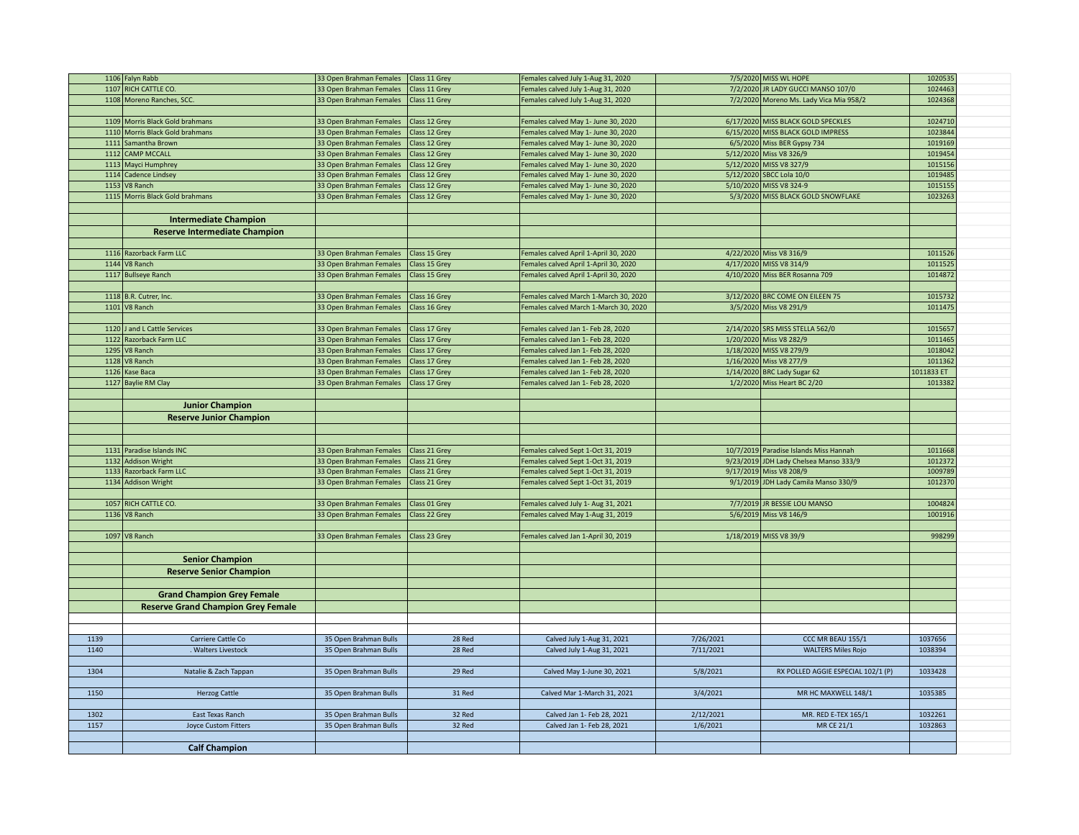|      | 1106 Falyn Rabb                           | 33 Open Brahman Females   Class 11 Grey |               | Females calved July 1-Aug 31, 2020    |           | 7/5/2020 MISS WL HOPE                   | 1020535    |  |
|------|-------------------------------------------|-----------------------------------------|---------------|---------------------------------------|-----------|-----------------------------------------|------------|--|
|      | 1107 RICH CATTLE CO.                      | 33 Open Brahman Females                 | Class 11 Grey | Females calved July 1-Aug 31, 2020    |           | 7/2/2020 JR LADY GUCCI MANSO 107/0      | 1024463    |  |
|      | 1108 Moreno Ranches, SCC.                 | 33 Open Brahman Females   Class 11 Grey |               | Females calved July 1-Aug 31, 2020    |           | 7/2/2020 Moreno Ms. Lady Vica Mia 958/2 | 1024368    |  |
|      |                                           |                                         |               |                                       |           |                                         |            |  |
|      | 1109 Morris Black Gold brahmans           | 33 Open Brahman Females   Class 12 Grey |               | Females calved May 1- June 30, 2020   |           | 6/17/2020 MISS BLACK GOLD SPECKLES      | 1024710    |  |
|      | 1110 Morris Black Gold brahmans           | 33 Open Brahman Females                 | Class 12 Grey | Females calved May 1- June 30, 2020   |           | 6/15/2020 MISS BLACK GOLD IMPRESS       | 1023844    |  |
|      | 1111 Samantha Brown                       | 33 Open Brahman Females                 | Class 12 Grey | Females calved May 1- June 30, 2020   |           | 6/5/2020 Miss BER Gypsy 734             | 1019169    |  |
|      | 1112 CAMP MCCALL                          | 33 Open Brahman Females                 | Class 12 Grey | Females calved May 1- June 30, 2020   |           | 5/12/2020 Miss V8 326/9                 | 1019454    |  |
|      | 1113 Mayci Humphrey                       | 33 Open Brahman Females                 | Class 12 Grey | Females calved May 1- June 30, 2020   |           | 5/12/2020 MISS V8 327/9                 | 1015156    |  |
|      | 1114 Cadence Lindsey                      | 33 Open Brahman Females                 | Class 12 Grey | Females calved May 1- June 30, 2020   |           | 5/12/2020 SBCC Lola 10/0                | 1019485    |  |
|      | 1153 V8 Ranch                             | 33 Open Brahman Females                 | Class 12 Grey | Females calved May 1- June 30, 2020   |           | 5/10/2020 MISS V8 324-9                 | 1015155    |  |
|      | 1115 Morris Black Gold brahmans           | 33 Open Brahman Females                 | Class 12 Grey | Females calved May 1- June 30, 2020   |           | 5/3/2020 MISS BLACK GOLD SNOWFLAKE      | 1023263    |  |
|      |                                           |                                         |               |                                       |           |                                         |            |  |
|      | <b>Intermediate Champion</b>              |                                         |               |                                       |           |                                         |            |  |
|      | <b>Reserve Intermediate Champion</b>      |                                         |               |                                       |           |                                         |            |  |
|      |                                           |                                         |               |                                       |           |                                         |            |  |
|      | 1116 Razorback Farm LLC                   | 33 Open Brahman Females                 | Class 15 Grey | Females calved April 1-April 30, 2020 |           | 4/22/2020 Miss V8 316/9                 | 1011526    |  |
|      | $1144$ V8 Ranch                           | 33 Open Brahman Females                 | Class 15 Grey | Females calved April 1-April 30, 2020 |           | 4/17/2020 MISS V8 314/9                 | 1011525    |  |
|      | 1117 Bullseye Ranch                       | 33 Open Brahman Females                 | Class 15 Grey | Females calved April 1-April 30, 2020 |           | 4/10/2020 Miss BER Rosanna 709          | 1014872    |  |
|      |                                           |                                         |               |                                       |           |                                         |            |  |
|      | 1118 B.R. Cutrer, Inc.                    | 33 Open Brahman Females                 | Class 16 Grey | Females calved March 1-March 30, 2020 |           | 3/12/2020 BRC COME ON EILEEN 75         | 1015732    |  |
|      | 1101 V8 Ranch                             | 33 Open Brahman Females                 | Class 16 Grey | Females calved March 1-March 30, 2020 |           | 3/5/2020 Miss V8 291/9                  | 1011475    |  |
|      |                                           |                                         |               |                                       |           |                                         |            |  |
|      | 1120 J and L Cattle Services              | 33 Open Brahman Females   Class 17 Grey |               | Females calved Jan 1- Feb 28, 2020    |           | 2/14/2020 SRS MISS STELLA 562/0         | 1015657    |  |
|      | 1122 Razorback Farm LLC                   | 33 Open Brahman Females                 | Class 17 Grey | Females calved Jan 1- Feb 28, 2020    |           | 1/20/2020 Miss V8 282/9                 | 1011465    |  |
|      | 1295 V8 Ranch                             | 33 Open Brahman Females                 | Class 17 Grey | Females calved Jan 1- Feb 28, 2020    |           | 1/18/2020 MISS V8 279/9                 | 1018042    |  |
|      | 1128 V8 Ranch                             | 33 Open Brahman Females                 | Class 17 Grey | Females calved Jan 1- Feb 28, 2020    |           | 1/16/2020 Miss V8 277/9                 | 1011362    |  |
|      | 1126 Kase Baca                            | 33 Open Brahman Females                 | Class 17 Grey | Females calved Jan 1- Feb 28, 2020    |           | 1/14/2020 BRC Lady Sugar 62             | 1011833 ET |  |
|      | 1127 Baylie RM Clay                       | 33 Open Brahman Females                 | Class 17 Grey | Females calved Jan 1- Feb 28, 2020    |           | 1/2/2020 Miss Heart BC 2/20             | 1013382    |  |
|      |                                           |                                         |               |                                       |           |                                         |            |  |
|      | <b>Junior Champion</b>                    |                                         |               |                                       |           |                                         |            |  |
|      |                                           |                                         |               |                                       |           |                                         |            |  |
|      | <b>Reserve Junior Champion</b>            |                                         |               |                                       |           |                                         |            |  |
|      |                                           |                                         |               |                                       |           |                                         |            |  |
|      | 1131 Paradise Islands INC                 | 33 Open Brahman Females   Class 21 Grey |               | Females calved Sept 1-Oct 31, 2019    |           | 10/7/2019 Paradise Islands Miss Hannah  | 1011668    |  |
|      | 1132 Addison Wright                       | 33 Open Brahman Females                 | Class 21 Grey | Females calved Sept 1-Oct 31, 2019    |           | 9/23/2019 JDH Lady Chelsea Manso 333/9  | 1012372    |  |
|      | 1133 Razorback Farm LLC                   | 33 Open Brahman Females                 | Class 21 Grey | Females calved Sept 1-Oct 31, 2019    |           | 9/17/2019 Miss V8 208/9                 | 1009789    |  |
|      | 1134 Addison Wright                       | 33 Open Brahman Females                 | Class 21 Grey | Females calved Sept 1-Oct 31, 2019    |           | 9/1/2019 JDH Lady Camila Manso 330/9    | 1012370    |  |
|      |                                           |                                         |               |                                       |           |                                         |            |  |
|      | 1057 RICH CATTLE CO.                      | 33 Open Brahman Females                 | Class 01 Grey | Females calved July 1- Aug 31, 2021   |           | 7/7/2019 JR BESSIE LOU MANSO            | 1004824    |  |
|      | 1136 V8 Ranch                             | 33 Open Brahman Females                 | Class 22 Grey | Females calved May 1-Aug 31, 2019     |           | 5/6/2019 Miss V8 146/9                  | 1001916    |  |
|      |                                           |                                         |               |                                       |           |                                         |            |  |
|      | 1097 V8 Ranch                             | 33 Open Brahman Females   Class 23 Grey |               | Females calved Jan 1-April 30, 2019   |           | 1/18/2019 MISS V8 39/9                  | 998299     |  |
|      |                                           |                                         |               |                                       |           |                                         |            |  |
|      | <b>Senior Champion</b>                    |                                         |               |                                       |           |                                         |            |  |
|      |                                           |                                         |               |                                       |           |                                         |            |  |
|      | <b>Reserve Senior Champion</b>            |                                         |               |                                       |           |                                         |            |  |
|      |                                           |                                         |               |                                       |           |                                         |            |  |
|      | <b>Grand Champion Grey Female</b>         |                                         |               |                                       |           |                                         |            |  |
|      | <b>Reserve Grand Champion Grey Female</b> |                                         |               |                                       |           |                                         |            |  |
|      |                                           |                                         |               |                                       |           |                                         |            |  |
|      |                                           |                                         |               |                                       |           |                                         |            |  |
| 1139 | Carriere Cattle Co                        | 35 Open Brahman Bulls                   | 28 Red        | Calved July 1-Aug 31, 2021            | 7/26/2021 | CCC MR BEAU 155/1                       | 1037656    |  |
| 1140 | <b>Walters Livestock</b>                  | 35 Open Brahman Bulls                   | 28 Red        | Calved July 1-Aug 31, 2021            | 7/11/2021 | <b>WALTERS Miles Rojo</b>               | 1038394    |  |
|      |                                           |                                         |               |                                       |           |                                         |            |  |
| 1304 | Natalie & Zach Tappan                     | 35 Open Brahman Bulls                   | 29 Red        | Calved May 1-June 30, 2021            | 5/8/2021  | RX POLLED AGGIE ESPECIAL 102/1 (P)      | 1033428    |  |
|      |                                           |                                         |               |                                       |           |                                         |            |  |
| 1150 | <b>Herzog Cattle</b>                      | 35 Open Brahman Bulls                   | 31 Red        | Calved Mar 1-March 31, 2021           | 3/4/2021  | MR HC MAXWELL 148/1                     | 1035385    |  |
|      |                                           |                                         |               |                                       |           |                                         |            |  |
| 1302 | East Texas Ranch                          | 35 Open Brahman Bulls                   | 32 Red        | Calved Jan 1- Feb 28, 2021            | 2/12/2021 | MR. RED E-TEX 165/1                     | 1032261    |  |
| 1157 | <b>Joyce Custom Fitters</b>               | 35 Open Brahman Bulls                   | 32 Red        | Calved Jan 1- Feb 28, 2021            | 1/6/2021  | <b>MR CE 21/1</b>                       | 1032863    |  |
|      |                                           |                                         |               |                                       |           |                                         |            |  |
|      | <b>Calf Champion</b>                      |                                         |               |                                       |           |                                         |            |  |
|      |                                           |                                         |               |                                       |           |                                         |            |  |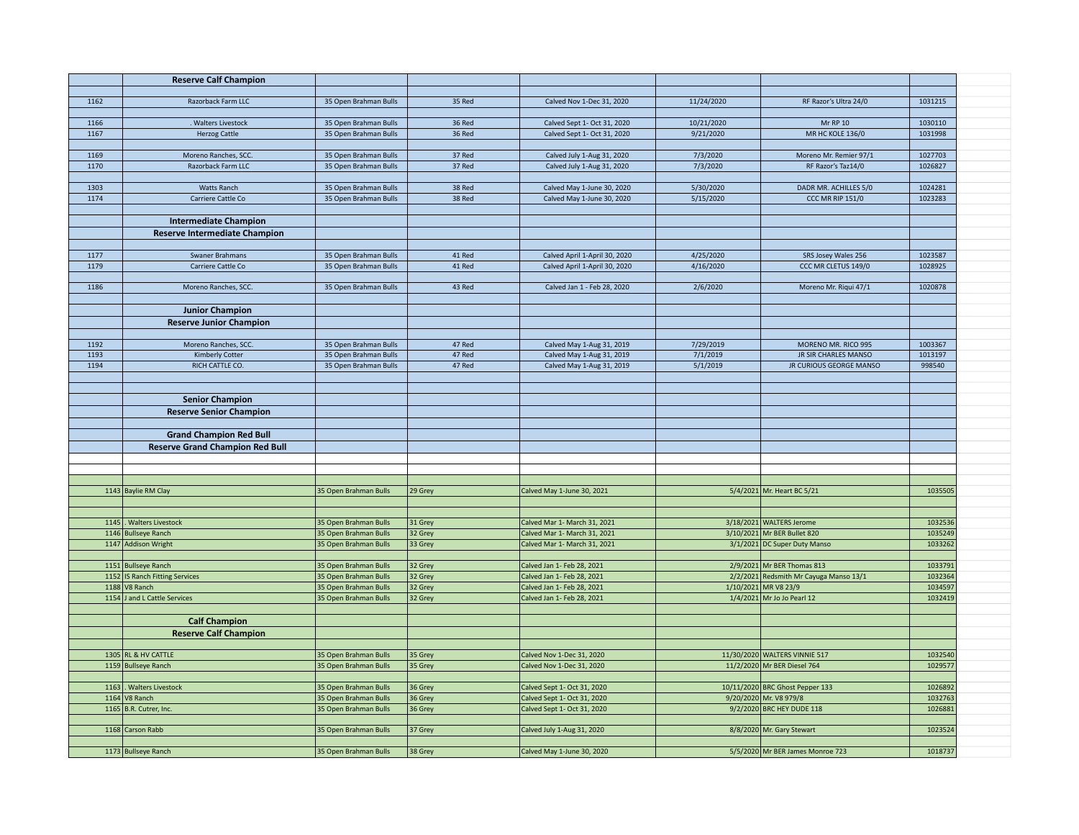|      | <b>Reserve Calf Champion</b>                  |                                                |                    |                                                          |            |                                                    |                    |  |
|------|-----------------------------------------------|------------------------------------------------|--------------------|----------------------------------------------------------|------------|----------------------------------------------------|--------------------|--|
|      |                                               |                                                |                    |                                                          |            |                                                    |                    |  |
| 1162 | Razorback Farm LLC                            | 35 Open Brahman Bulls                          | 35 Red             | Calved Nov 1-Dec 31, 2020                                | 11/24/2020 | RF Razor's Ultra 24/0                              | 1031215            |  |
|      |                                               |                                                |                    |                                                          |            |                                                    |                    |  |
| 1166 | . Walters Livestock                           | 35 Open Brahman Bulls                          | 36 Red             | Calved Sept 1- Oct 31, 2020                              | 10/21/2020 | <b>Mr RP 10</b>                                    | 1030110            |  |
| 1167 | <b>Herzog Cattle</b>                          | 35 Open Brahman Bulls                          | 36 Red             | Calved Sept 1- Oct 31, 2020                              | 9/21/2020  | <b>MR HC KOLE 136/0</b>                            | 1031998            |  |
| 1169 | Moreno Ranches, SCC.                          | 35 Open Brahman Bulls                          | 37 Red             | Calved July 1-Aug 31, 2020                               | 7/3/2020   | Moreno Mr. Remier 97/1                             | 1027703            |  |
| 1170 | Razorback Farm LLC                            | 35 Open Brahman Bulls                          | 37 Red             | Calved July 1-Aug 31, 2020                               | 7/3/2020   | RF Razor's Taz14/0                                 | 1026827            |  |
|      |                                               |                                                |                    |                                                          |            |                                                    |                    |  |
| 1303 | <b>Watts Ranch</b>                            | 35 Open Brahman Bulls                          | 38 Red             | Calved May 1-June 30, 2020                               | 5/30/2020  | DADR MR. ACHILLES 5/0                              | 1024281            |  |
| 1174 | Carriere Cattle Co                            | 35 Open Brahman Bulls                          | 38 Red             | Calved May 1-June 30, 2020                               | 5/15/2020  | <b>CCC MR RIP 151/0</b>                            | 1023283            |  |
|      |                                               |                                                |                    |                                                          |            |                                                    |                    |  |
|      | <b>Intermediate Champion</b>                  |                                                |                    |                                                          |            |                                                    |                    |  |
|      | Reserve Intermediate Champion                 |                                                |                    |                                                          |            |                                                    |                    |  |
|      |                                               |                                                |                    |                                                          |            |                                                    |                    |  |
| 1177 | Swaner Brahmans                               | 35 Open Brahman Bulls                          | 41 Red             | Calved April 1-April 30, 2020                            | 4/25/2020  | SRS Josey Wales 256                                | 1023587            |  |
| 1179 | Carriere Cattle Co                            | 35 Open Brahman Bulls                          | 41 Red             | Calved April 1-April 30, 2020                            | 4/16/2020  | CCC MR CLETUS 149/0                                | 1028925            |  |
|      |                                               |                                                |                    |                                                          |            |                                                    |                    |  |
| 1186 | Moreno Ranches, SCC.                          | 35 Open Brahman Bulls                          | 43 Red             | Calved Jan 1 - Feb 28, 2020                              | 2/6/2020   | Moreno Mr. Rigui 47/1                              | 1020878            |  |
|      |                                               |                                                |                    |                                                          |            |                                                    |                    |  |
|      | <b>Junior Champion</b>                        |                                                |                    |                                                          |            |                                                    |                    |  |
|      | <b>Reserve Junior Champion</b>                |                                                |                    |                                                          |            |                                                    |                    |  |
|      |                                               |                                                |                    |                                                          |            |                                                    |                    |  |
| 1192 | Moreno Ranches, SCC.                          | 35 Open Brahman Bulls                          | 47 Red             | Calved May 1-Aug 31, 2019                                | 7/29/2019  | MORENO MR. RICO 995                                | 1003367            |  |
| 1193 | <b>Kimberly Cotter</b>                        | 35 Open Brahman Bulls                          | 47 Red             | Calved May 1-Aug 31, 2019                                | 7/1/2019   | JR SIR CHARLES MANSO                               | 1013197            |  |
| 1194 | RICH CATTLE CO.                               | 35 Open Brahman Bulls                          | 47 Red             | Calved May 1-Aug 31, 2019                                | 5/1/2019   | JR CURIOUS GEORGE MANSO                            | 998540             |  |
|      |                                               |                                                |                    |                                                          |            |                                                    |                    |  |
|      |                                               |                                                |                    |                                                          |            |                                                    |                    |  |
|      | <b>Senior Champion</b>                        |                                                |                    |                                                          |            |                                                    |                    |  |
|      | <b>Reserve Senior Champion</b>                |                                                |                    |                                                          |            |                                                    |                    |  |
|      |                                               |                                                |                    |                                                          |            |                                                    |                    |  |
|      | <b>Grand Champion Red Bull</b>                |                                                |                    |                                                          |            |                                                    |                    |  |
|      | <b>Reserve Grand Champion Red Bull</b>        |                                                |                    |                                                          |            |                                                    |                    |  |
|      |                                               |                                                |                    |                                                          |            |                                                    |                    |  |
|      |                                               |                                                |                    |                                                          |            |                                                    |                    |  |
|      | 1143 Baylie RM Clay                           | 35 Open Brahman Bulls                          | 29 Grey            | Calved May 1-June 30, 2021                               |            | 5/4/2021 Mr. Heart BC 5/21                         | 1035505            |  |
|      |                                               |                                                |                    |                                                          |            |                                                    |                    |  |
|      |                                               |                                                |                    |                                                          |            |                                                    |                    |  |
|      | 1145  . Walters Livestock                     | 35 Open Brahman Bulls                          | 31 Grey            | Calved Mar 1- March 31, 2021                             |            | 3/18/2021 WALTERS Jerome                           | 1032536            |  |
|      | 1146 Bullseye Ranch                           | 35 Open Brahman Bulls                          | 32 Grey            | Calved Mar 1- March 31, 2021                             |            | 3/10/2021 Mr BER Bullet 820                        | 1035249            |  |
|      | 1147 Addison Wright                           | 35 Open Brahman Bulls                          | 33 Grey            | Calved Mar 1- March 31, 2021                             |            | 3/1/2021 DC Super Duty Manso                       | 1033262            |  |
|      |                                               |                                                |                    |                                                          |            |                                                    |                    |  |
|      | 1151 Bullseye Ranch                           | 35 Open Brahman Bulls                          | 32 Grey            | Calved Jan 1- Feb 28, 2021                               |            | 2/9/2021 Mr BER Thomas 813                         | 1033791            |  |
|      | 1152 IS Ranch Fitting Services                | 35 Open Brahman Bulls                          | 32 Grey            | Calved Jan 1- Feb 28, 2021                               |            | 2/2/2021 Redsmith Mr Cayuga Manso 13/1             | 1032364            |  |
|      | 1188 V8 Ranch<br>1154 J and L Cattle Services | 35 Open Brahman Bulls<br>35 Open Brahman Bulls | 32 Grey<br>32 Grey | Calved Jan 1- Feb 28, 2021<br>Calved Jan 1- Feb 28, 2021 |            | 1/10/2021 MR V8 23/9<br>1/4/2021 Mr Jo Jo Pearl 12 | 1034597<br>1032419 |  |
|      |                                               |                                                |                    |                                                          |            |                                                    |                    |  |
|      | <b>Calf Champion</b>                          |                                                |                    |                                                          |            |                                                    |                    |  |
|      |                                               |                                                |                    |                                                          |            |                                                    |                    |  |
|      | <b>Reserve Calf Champion</b>                  |                                                |                    |                                                          |            |                                                    |                    |  |
|      | 1305 RL & HV CATTLE                           | 35 Open Brahman Bulls                          | 35 Grey            | Calved Nov 1-Dec 31, 2020                                |            | 11/30/2020 WALTERS VINNIE 517                      | 1032540            |  |
|      | 1159 Bullseye Ranch                           | 35 Open Brahman Bulls                          | 35 Grey            | Calved Nov 1-Dec 31, 2020                                |            | 11/2/2020 Mr BER Diesel 764                        | 1029577            |  |
|      |                                               |                                                |                    |                                                          |            |                                                    |                    |  |
|      | 1163. Walters Livestock                       | 35 Open Brahman Bulls                          | 36 Grey            | Calved Sept 1- Oct 31, 2020                              |            | 10/11/2020 BRC Ghost Pepper 133                    | 1026892            |  |
|      | $1164$ V8 Ranch                               | 35 Open Brahman Bulls                          | 36 Grey            | Calved Sept 1- Oct 31, 2020                              |            | 9/20/2020 Mr. V8 979/8                             | 1032763            |  |
|      | 1165 B.R. Cutrer, Inc.                        | 35 Open Brahman Bulls                          | 36 Grey            | Calved Sept 1- Oct 31, 2020                              |            | 9/2/2020 BRC HEY DUDE 118                          | 1026881            |  |
|      |                                               |                                                |                    |                                                          |            |                                                    |                    |  |
|      | 1168 Carson Rabb                              | 35 Open Brahman Bulls                          | 37 Grey            | Calved July 1-Aug 31, 2020                               |            | 8/8/2020 Mr. Gary Stewart                          | 1023524            |  |
|      |                                               |                                                |                    |                                                          |            |                                                    |                    |  |
|      | 1173 Bullseye Ranch                           | 35 Open Brahman Bulls                          | 38 Grey            | Calved May 1-June 30, 2020                               |            | 5/5/2020 Mr BER James Monroe 723                   | 1018737            |  |